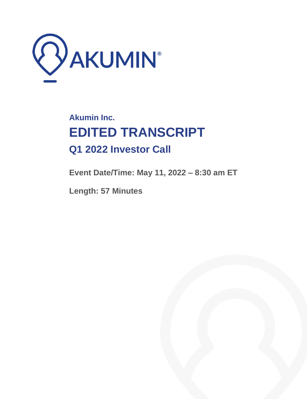

# **Akumin Inc. EDITED TRANSCRIPT Q1 2022 Investor Call**

**Event Date/Time: May 11, 2022 – 8:30 am ET**

**Length: 57 Minutes**

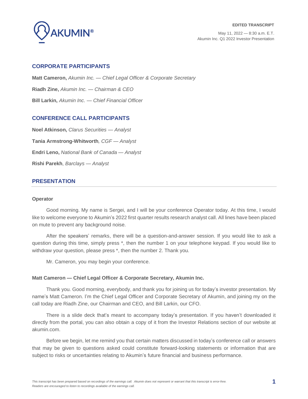

# **CORPORATE PARTICIPANTS**

**Matt Cameron,** *Akumin Inc. — Chief Legal Officer & Corporate Secretary* **Riadh Zine,** *Akumin Inc. — Chairman & CEO* **Bill Larkin,** *Akumin Inc. — Chief Financial Officer*

# **CONFERENCE CALL PARTICIPANTS**

**Noel Atkinson,** *Clarus Securities — Analyst* **Tania Armstrong-Whitworth***, CGF — Analyst* **Endri Leno,** *National Bank of Canada — Analyst* **Rishi Parekh**, *Barclays — Analyst*

# **PRESENTATION**

#### **Operator**

Good morning. My name is Sergei, and I will be your conference Operator today. At this time, I would like to welcome everyone to Akumin's 2022 first quarter results research analyst call. All lines have been placed on mute to prevent any background noise.

After the speakers' remarks, there will be a question-and-answer session. If you would like to ask a question during this time, simply press \*, then the number 1 on your telephone keypad. If you would like to withdraw your question, please press \*, then the number 2. Thank you.

Mr. Cameron, you may begin your conference.

## **Matt Cameron — Chief Legal Officer & Corporate Secretary, Akumin Inc.**

Thank you. Good morning, everybody, and thank you for joining us for today's investor presentation. My name's Matt Cameron. I'm the Chief Legal Officer and Corporate Secretary of Akumin, and joining my on the call today are Riadh Zine, our Chairman and CEO, and Bill Larkin, our CFO.

There is a slide deck that's meant to accompany today's presentation. If you haven't downloaded it directly from the portal, you can also obtain a copy of it from the Investor Relations section of our website at akumin.com.

Before we begin, let me remind you that certain matters discussed in today's conference call or answers that may be given to questions asked could constitute forward-looking statements or information that are subject to risks or uncertainties relating to Akumin's future financial and business performance.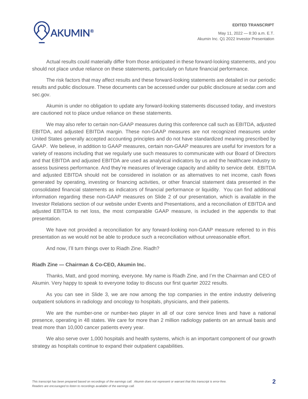

Actual results could materially differ from those anticipated in these forward-looking statements, and you should not place undue reliance on these statements, particularly on future financial performance.

The risk factors that may affect results and these forward-looking statements are detailed in our periodic results and public disclosure. These documents can be accessed under our public disclosure at sedar.com and sec.gov.

Akumin is under no obligation to update any forward-looking statements discussed today, and investors are cautioned not to place undue reliance on these statements.

We may also refer to certain non-GAAP measures during this conference call such as EBITDA, adjusted EBITDA, and adjusted EBITDA margin. These non-GAAP measures are not recognized measures under United States generally accepted accounting principles and do not have standardized meaning prescribed by GAAP. We believe, in addition to GAAP measures, certain non-GAAP measures are useful for investors for a variety of reasons including that we regularly use such measures to communicate with our Board of Directors and that EBITDA and adjusted EBITDA are used as analytical indicators by us and the healthcare industry to assess business performance. And they're measures of leverage capacity and ability to service debt. EBITDA and adjusted EBITDA should not be considered in isolation or as alternatives to net income, cash flows generated by operating, investing or financing activities, or other financial statement data presented in the consolidated financial statements as indicators of financial performance or liquidity. You can find additional information regarding these non-GAAP measures on Slide 2 of our presentation, which is available in the Investor Relations section of our website under Events and Presentations, and a reconciliation of EBITDA and adjusted EBITDA to net loss, the most comparable GAAP measure, is included in the appendix to that presentation.

We have not provided a reconciliation for any forward-looking non-GAAP measure referred to in this presentation as we would not be able to produce such a reconciliation without unreasonable effort.

And now, I'll turn things over to Riadh Zine. Riadh?

#### **Riadh Zine — Chairman & Co-CEO, Akumin Inc.**

Thanks, Matt, and good morning, everyone. My name is Riadh Zine, and I'm the Chairman and CEO of Akumin. Very happy to speak to everyone today to discuss our first quarter 2022 results.

As you can see in Slide 3, we are now among the top companies in the entire industry delivering outpatient solutions in radiology and oncology to hospitals, physicians, and their patients.

We are the number-one or number-two player in all of our core service lines and have a national presence, operating in 48 states. We care for more than 2 million radiology patients on an annual basis and treat more than 10,000 cancer patients every year.

We also serve over 1,000 hospitals and health systems, which is an important component of our growth strategy as hospitals continue to expand their outpatient capabilities.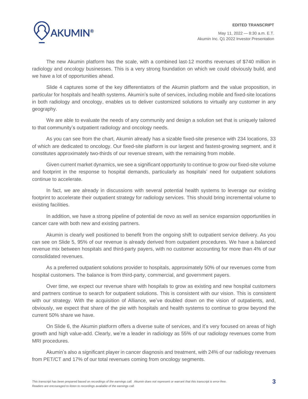The new Akumin platform has the scale, with a combined last-12 months revenues of \$740 million in radiology and oncology businesses. This is a very strong foundation on which we could obviously build, and we have a lot of opportunities ahead.

Slide 4 captures some of the key differentiators of the Akumin platform and the value proposition, in particular for hospitals and health systems. Akumin's suite of services, including mobile and fixed-site locations in both radiology and oncology, enables us to deliver customized solutions to virtually any customer in any geography.

We are able to evaluate the needs of any community and design a solution set that is uniquely tailored to that community's outpatient radiology and oncology needs.

As you can see from the chart, Akumin already has a sizable fixed-site presence with 234 locations, 33 of which are dedicated to oncology. Our fixed-site platform is our largest and fastest-growing segment, and it constitutes approximately two-thirds of our revenue stream, with the remaining from mobile.

Given current market dynamics, we see a significant opportunity to continue to grow our fixed-site volume and footprint in the response to hospital demands, particularly as hospitals' need for outpatient solutions continue to accelerate.

In fact, we are already in discussions with several potential health systems to leverage our existing footprint to accelerate their outpatient strategy for radiology services. This should bring incremental volume to existing facilities.

In addition, we have a strong pipeline of potential de novo as well as service expansion opportunities in cancer care with both new and existing partners.

Akumin is clearly well positioned to benefit from the ongoing shift to outpatient service delivery. As you can see on Slide 5, 95% of our revenue is already derived from outpatient procedures. We have a balanced revenue mix between hospitals and third-party payers, with no customer accounting for more than 4% of our consolidated revenues.

As a preferred outpatient solutions provider to hospitals, approximately 50% of our revenues come from hospital customers. The balance is from third-party, commercial, and government payers.

Over time, we expect our revenue share with hospitals to grow as existing and new hospital customers and partners continue to search for outpatient solutions. This is consistent with our vision. This is consistent with our strategy. With the acquisition of Alliance, we've doubled down on the vision of outpatients, and, obviously, we expect that share of the pie with hospitals and health systems to continue to grow beyond the current 50% share we have.

On Slide 6, the Akumin platform offers a diverse suite of services, and it's very focused on areas of high growth and high value-add. Clearly, we're a leader in radiology as 55% of our radiology revenues come from MRI procedures.

Akumin's also a significant player in cancer diagnosis and treatment, with 24% of our radiology revenues from PET/CT and 17% of our total revenues coming from oncology segments.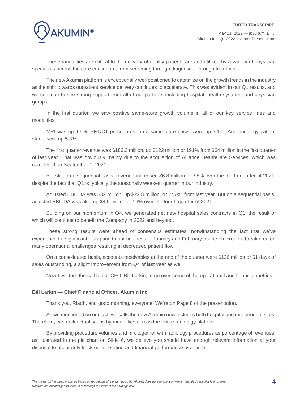

These modalities are critical to the delivery of quality patient care and utilized by a variety of physician specialists across the care continuum, from screening through diagnoses, through treatment.

The new Akumin platform is exceptionally well positioned to capitalize on the growth trends in the industry as the shift towards outpatient service delivery continues to accelerate. This was evident in our Q1 results, and we continue to see strong support from all of our partners including hospital, health systems, and physician groups.

In the first quarter, we saw positive same-store growth volume in all of our key service lines and modalities.

MRI was up 4.9%. PET/CT procedures, on a same-store basis, were up 7.1%. And oncology patient starts were up 5.3%.

The first quarter revenue was \$186.3 million, up \$122 million or 191% from \$64 million in the first quarter of last year. That was obviously mainly due to the acquisition of Alliance HealthCare Services, which was completed on September 1, 2021.

But still, on a sequential basis, revenue increased \$6.8 million or 3.8% over the fourth quarter of 2021, despite the fact that Q1 is typically the seasonally weakest quarter in our industry.

Adjusted EBITDA was \$32 million, up \$22.8 million, or 247%, from last year. But on a sequential basis, adjusted EBITDA was also up \$4.5 million or 16% over the fourth quarter of 2021.

Building on our momentum in Q4, we generated net new hospital sales contracts in Q1, the result of which will continue to benefit the Company in 2022 and beyond.

These strong results were ahead of consensus estimates, notwithstanding the fact that we've experienced a significant disruption to our business in January and February as the omicron outbreak created many operational challenges resulting in decreased patient flow.

On a consolidated basis, accounts receivables at the end of the quarter were \$126 million or 61 days of sales outstanding, a slight improvement from Q4 of last year as well.

Now I will turn the call to our CFO, Bill Larkin, to go over some of the operational and financial metrics.

## **Bill Larkin — Chief Financial Officer, Akumin Inc.**

Thank you, Riadh, and good morning, everyone. We're on Page 8 of the presentation.

As we mentioned on our last two calls the new Akumin now includes both hospital and independent sites. Therefore, we track actual scans by modalities across the entire radiology platform.

By providing procedure volumes and mix together with radiology procedures as percentage of revenues, as illustrated in the pie chart on Slide 6, we believe you should have enough relevant information at your disposal to accurately track our operating and financial performance over time.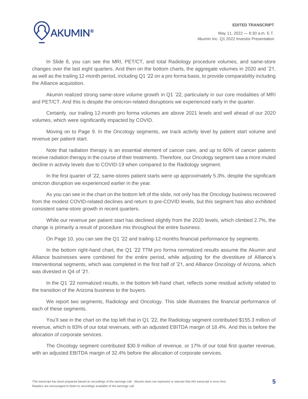In Slide 8, you can see the MRI, PET/CT, and total Radiology procedure volumes, and same-store changes over the last eight quarters. And then on the bottom charts, the aggregate volumes in 2020 and '21, as well as the trailing 12-month period, including Q1 '22 on a pro forma basis, to provide comparability including the Alliance acquisition.

Akumin realized strong same-store volume growth in Q1 '22, particularly in our core modalities of MRI and PET/CT. And this is despite the omicron-related disruptions we experienced early in the quarter.

Certainly, our trailing 12-month pro forma volumes are above 2021 levels and well ahead of our 2020 volumes, which were significantly impacted by COVID.

Moving on to Page 9. In the Oncology segments, we track activity level by patient start volume and revenue per patient start.

Note that radiation therapy is an essential element of cancer care, and up to 60% of cancer patients receive radiation therapy in the course of their treatments. Therefore, our Oncology segment saw a more muted decline in activity levels due to COVID-19 when compared to the Radiology segment.

In the first quarter of '22, same-stores patient starts were up approximately 5.3%, despite the significant omicron disruption we experienced earlier in the year.

As you can see in the chart on the bottom left of the slide, not only has the Oncology business recovered from the modest COVID-related declines and return to pre-COVID levels, but this segment has also exhibited consistent same-store growth in recent quarters.

While our revenue per patient start has declined slightly from the 2020 levels, which climbed 2.7%, the change is primarily a result of procedure mix throughout the entire business.

On Page 10, you can see the Q1 '22 and trailing-12 months financial performance by segments.

In the bottom right-hand chart, the Q1 '22 TTM pro forma normalized results assume the Akumin and Alliance businesses were combined for the entire period, while adjusting for the divestiture of Alliance's Interventional segments, which was completed in the first half of '21, and Alliance Oncology of Arizona, which was divested in Q4 of '21.

In the Q1 '22 normalized results, in the bottom left-hand chart, reflects some residual activity related to the transition of the Arizona business to the buyers.

We report two segments, Radiology and Oncology. This slide illustrates the financial performance of each of these segments.

You'll see in the chart on the top left that in Q1 '22, the Radiology segment contributed \$155.3 million of revenue, which is 83% of our total revenues, with an adjusted EBITDA margin of 18.4%. And this is before the allocation of corporate services.

The Oncology segment contributed \$30.9 million of revenue, or 17% of our total first quarter revenue, with an adjusted EBITDA margin of 32.4% before the allocation of corporate services.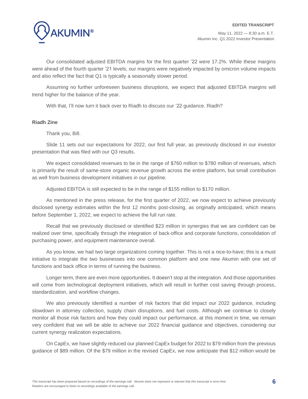Our consolidated adjusted EBITDA margins for the first quarter '22 were 17.2%. While these margins were ahead of the fourth quarter '21 levels, our margins were negatively impacted by omicron volume impacts and also reflect the fact that Q1 is typically a seasonally slower period.

Assuming no further unforeseen business disruptions, we expect that adjusted EBITDA margins will trend higher for the balance of the year.

With that, I'll now turn it back over to Riadh to discuss our '22 guidance. Riadh?

# **Riadh Zine**

Thank you, Bill.

Slide 11 sets out our expectations for 2022, our first full year, as previously disclosed in our investor presentation that was filed with our Q3 results.

We expect consolidated revenues to be in the range of \$760 million to \$780 million of revenues, which is primarily the result of same-store organic revenue growth across the entire platform, but small contribution as well from business development initiatives in our pipeline.

Adjusted EBITDA is still expected to be in the range of \$155 million to \$170 million.

As mentioned in the press release, for the first quarter of 2022, we now expect to achieve previously disclosed synergy estimates within the first 12 months post-closing, as originally anticipated, which means before September 1, 2022, we expect to achieve the full run rate.

Recall that we previously disclosed or identified \$23 million in synergies that we are confident can be realized over time, specifically through the integration of back-office and corporate functions, consolidation of purchasing power, and equipment maintenance overall.

As you know, we had two large organizations coming together. This is not a nice-to-have; this is a must initiative to integrate the two businesses into one common platform and one new Akumin with one set of functions and back office in terms of running the business.

Longer term, there are even more opportunities. It doesn't stop at the integration. And those opportunities will come from technological deployment initiatives, which will result in further cost saving through process, standardization, and workflow changes.

We also previously identified a number of risk factors that did impact our 2022 guidance, including slowdown in attorney collection, supply chain disruptions, and fuel costs. Although we continue to closely monitor all those risk factors and how they could impact our performance, at this moment in time, we remain very confident that we will be able to achieve our 2022 financial guidance and objectives, considering our current synergy realization expectations.

On CapEx, we have slightly reduced our planned CapEx budget for 2022 to \$79 million from the previous guidance of \$89 million. Of the \$79 million in the revised CapEx, we now anticipate that \$12 million would be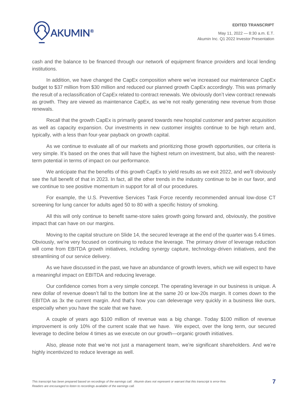

cash and the balance to be financed through our network of equipment finance providers and local lending institutions.

In addition, we have changed the CapEx composition where we've increased our maintenance CapEx budget to \$37 million from \$30 million and reduced our planned growth CapEx accordingly. This was primarily the result of a reclassification of CapEx related to contract renewals. We obviously don't view contract renewals as growth. They are viewed as maintenance CapEx, as we're not really generating new revenue from those renewals.

Recall that the growth CapEx is primarily geared towards new hospital customer and partner acquisition as well as capacity expansion. Our investments in new customer insights continue to be high return and, typically, with a less than four-year payback on growth capital.

As we continue to evaluate all of our markets and prioritizing those growth opportunities, our criteria is very simple. It's based on the ones that will have the highest return on investment, but also, with the nearestterm potential in terms of impact on our performance.

We anticipate that the benefits of this growth CapEx to yield results as we exit 2022, and we'll obviously see the full benefit of that in 2023. In fact, all the other trends in the industry continue to be in our favor, and we continue to see positive momentum in support for all of our procedures.

For example, the U.S. Preventive Services Task Force recently recommended annual low-dose CT screening for lung cancer for adults aged 50 to 80 with a specific history of smoking.

All this will only continue to benefit same-store sales growth going forward and, obviously, the positive impact that can have on our margins.

Moving to the capital structure on Slide 14, the secured leverage at the end of the quarter was 5.4 times. Obviously, we're very focused on continuing to reduce the leverage. The primary driver of leverage reduction will come from EBITDA growth initiatives, including synergy capture, technology-driven initiatives, and the streamlining of our service delivery.

As we have discussed in the past, we have an abundance of growth levers, which we will expect to have a meaningful impact on EBITDA and reducing leverage.

Our confidence comes from a very simple concept. The operating leverage in our business is unique. A new dollar of revenue doesn't fall to the bottom line at the same 20 or low-20s margin. It comes down to the EBITDA as 3x the current margin. And that's how you can deleverage very quickly in a business like ours, especially when you have the scale that we have.

A couple of years ago \$100 million of revenue was a big change. Today \$100 million of revenue improvement is only 10% of the current scale that we have. We expect, over the long term, our secured leverage to decline below 4 times as we execute on our growth—organic growth initiatives.

Also, please note that we're not just a management team, we're significant shareholders. And we're highly incentivized to reduce leverage as well.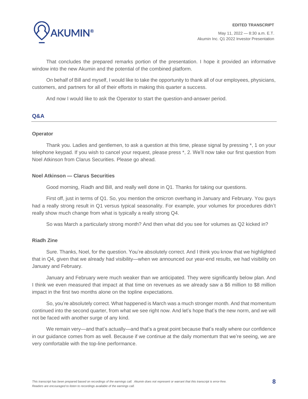That concludes the prepared remarks portion of the presentation. I hope it provided an informative window into the new Akumin and the potential of the combined platform.

On behalf of Bill and myself, I would like to take the opportunity to thank all of our employees, physicians, customers, and partners for all of their efforts in making this quarter a success.

And now I would like to ask the Operator to start the question-and-answer period.

# **Q&A**

#### **Operator**

Thank you. Ladies and gentlemen, to ask a question at this time, please signal by pressing \*, 1 on your telephone keypad. If you wish to cancel your request, please press \*, 2. We'll now take our first question from Noel Atkinson from Clarus Securities. Please go ahead.

#### **Noel Atkinson — Clarus Securities**

Good morning, Riadh and Bill, and really well done in Q1. Thanks for taking our questions.

First off, just in terms of Q1. So, you mention the omicron overhang in January and February. You guys had a really strong result in Q1 versus typical seasonality. For example, your volumes for procedures didn't really show much change from what is typically a really strong Q4.

So was March a particularly strong month? And then what did you see for volumes as Q2 kicked in?

#### **Riadh Zine**

Sure. Thanks, Noel, for the question. You're absolutely correct. And I think you know that we highlighted that in Q4, given that we already had visibility—when we announced our year-end results, we had visibility on January and February.

January and February were much weaker than we anticipated. They were significantly below plan. And I think we even measured that impact at that time on revenues as we already saw a \$6 million to \$8 million impact in the first two months alone on the topline expectations.

So, you're absolutely correct. What happened is March was a much stronger month. And that momentum continued into the second quarter, from what we see right now. And let's hope that's the new norm, and we will not be faced with another surge of any kind.

We remain very—and that's actually—and that's a great point because that's really where our confidence in our guidance comes from as well. Because if we continue at the daily momentum that we're seeing, we are very comfortable with the top-line performance.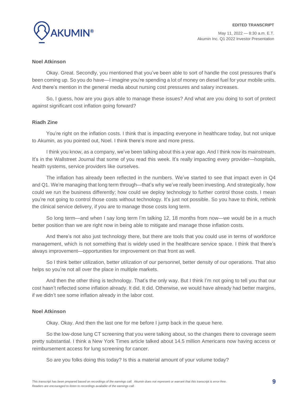

# **Noel Atkinson**

Okay. Great. Secondly, you mentioned that you've been able to sort of handle the cost pressures that's been coming up. So you do have—I imagine you're spending a lot of money on diesel fuel for your mobile units. And there's mention in the general media about nursing cost pressures and salary increases.

So, I guess, how are you guys able to manage these issues? And what are you doing to sort of protect against significant cost inflation going forward?

# **Riadh Zine**

You're right on the inflation costs. I think that is impacting everyone in healthcare today, but not unique to Akumin, as you pointed out, Noel. I think there's more and more press.

I think you know, as a company, we've been talking about this a year ago. And I think now its mainstream. It's in the Wallstreet Journal that some of you read this week. It's really impacting every provider—hospitals, health systems, service providers like ourselves.

The inflation has already been reflected in the numbers. We've started to see that impact even in Q4 and Q1. We're managing that long term through—that's why we've really been investing. And strategically, how could we run the business differently; how could we deploy technology to further control those costs. I mean you're not going to control those costs without technology. It's just not possible. So you have to think, rethink the clinical service delivery, if you are to manage those costs long term.

So long term—and when I say long term I'm talking 12, 18 months from now—we would be in a much better position than we are right now in being able to mitigate and manage those inflation costs.

And there's not also just technology there, but there are tools that you could use in terms of workforce management, which is not something that is widely used in the healthcare service space. I think that there's always improvement—opportunities for improvement on that front as well.

So I think better utilization, better utilization of our personnel, better density of our operations. That also helps so you're not all over the place in multiple markets.

And then the other thing is technology. That's the only way. But I think I'm not going to tell you that our cost hasn't reflected some inflation already. It did. It did. Otherwise, we would have already had better margins, if we didn't see some inflation already in the labor cost.

# **Noel Atkinson**

Okay. Okay. And then the last one for me before I jump back in the queue here.

So the low-dose lung CT screening that you were talking about, so the changes there to coverage seem pretty substantial. I think a New York Times article talked about 14.5 million Americans now having access or reimbursement access for lung screening for cancer.

So are you folks doing this today? Is this a material amount of your volume today?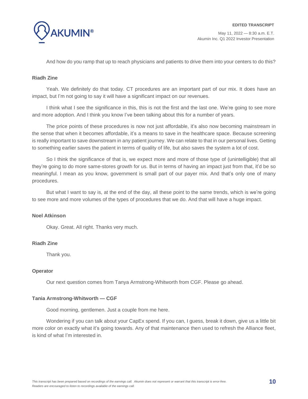

And how do you ramp that up to reach physicians and patients to drive them into your centers to do this?

# **Riadh Zine**

Yeah. We definitely do that today. CT procedures are an important part of our mix. It does have an impact, but I'm not going to say it will have a significant impact on our revenues.

I think what I see the significance in this, this is not the first and the last one. We're going to see more and more adoption. And I think you know I've been talking about this for a number of years.

The price points of these procedures is now not just affordable, it's also now becoming mainstream in the sense that when it becomes affordable, it's a means to save in the healthcare space. Because screening is really important to save downstream in any patient journey. We can relate to that in our personal lives. Getting to something earlier saves the patient in terms of quality of life, but also saves the system a lot of cost.

So I think the significance of that is, we expect more and more of those type of (unintelligible) that all they're going to do more same-stores growth for us. But in terms of having an impact just from that, it'd be so meaningful. I mean as you know, government is small part of our payer mix. And that's only one of many procedures.

But what I want to say is, at the end of the day, all these point to the same trends, which is we're going to see more and more volumes of the types of procedures that we do. And that will have a huge impact.

# **Noel Atkinson**

Okay. Great. All right. Thanks very much.

#### **Riadh Zine**

Thank you.

#### **Operator**

Our next question comes from Tanya Armstrong-Whitworth from CGF. Please go ahead.

#### **Tania Armstrong-Whitworth — CGF**

Good morning, gentlemen. Just a couple from me here.

Wondering if you can talk about your CapEx spend. If you can, I guess, break it down, give us a little bit more color on exactly what it's going towards. Any of that maintenance then used to refresh the Alliance fleet, is kind of what I'm interested in.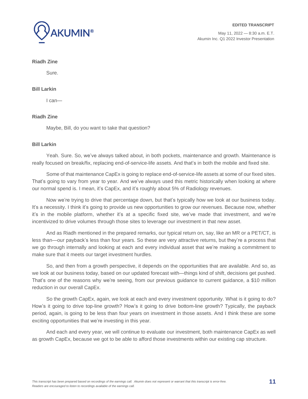

# **Riadh Zine**

Sure.

# **Bill Larkin**

I can—

# **Riadh Zine**

Maybe, Bill, do you want to take that question?

# **Bill Larkin**

Yeah. Sure. So, we've always talked about, in both pockets, maintenance and growth. Maintenance is really focused on break/fix, replacing end-of-service-life assets. And that's in both the mobile and fixed site.

Some of that maintenance CapEx is going to replace end-of-service-life assets at some of our fixed sites. That's going to vary from year to year. And we've always used this metric historically when looking at where our normal spend is. I mean, it's CapEx, and it's roughly about 5% of Radiology revenues.

Now we're trying to drive that percentage down, but that's typically how we look at our business today. It's a necessity. I think it's going to provide us new opportunities to grow our revenues. Because now, whether it's in the mobile platform, whether it's at a specific fixed site, we've made that investment, and we're incentivized to drive volumes through those sites to leverage our investment in that new asset.

And as Riadh mentioned in the prepared remarks, our typical return on, say, like an MR or a PET/CT, is less than—our payback's less than four years. So these are very attractive returns, but they're a process that we go through internally and looking at each and every individual asset that we're making a commitment to make sure that it meets our target investment hurdles.

So, and then from a growth perspective, it depends on the opportunities that are available. And so, as we look at our business today, based on our updated forecast with—things kind of shift, decisions get pushed. That's one of the reasons why we're seeing, from our previous guidance to current guidance, a \$10 million reduction in our overall CapEx.

So the growth CapEx, again, we look at each and every investment opportunity. What is it going to do? How's it going to drive top-line growth? How's it going to drive bottom-line growth? Typically, the payback period, again, is going to be less than four years on investment in those assets. And I think these are some exciting opportunities that we're investing in this year.

And each and every year, we will continue to evaluate our investment, both maintenance CapEx as well as growth CapEx, because we got to be able to afford those investments within our existing cap structure.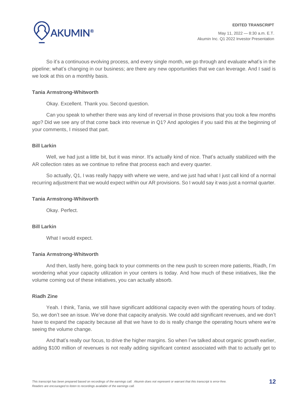

So it's a continuous evolving process, and every single month, we go through and evaluate what's in the pipeline; what's changing in our business; are there any new opportunities that we can leverage. And I said is we look at this on a monthly basis.

#### **Tania Armstrong-Whitworth**

Okay. Excellent. Thank you. Second question.

Can you speak to whether there was any kind of reversal in those provisions that you took a few months ago? Did we see any of that come back into revenue in Q1? And apologies if you said this at the beginning of your comments, I missed that part.

#### **Bill Larkin**

Well, we had just a little bit, but it was minor. It's actually kind of nice. That's actually stabilized with the AR collection rates as we continue to refine that process each and every quarter.

So actually, Q1, I was really happy with where we were, and we just had what I just call kind of a normal recurring adjustment that we would expect within our AR provisions. So I would say it was just a normal quarter.

#### **Tania Armstrong-Whitworth**

Okay. Perfect.

#### **Bill Larkin**

What I would expect.

## **Tania Armstrong-Whitworth**

And then, lastly here, going back to your comments on the new push to screen more patients, Riadh, I'm wondering what your capacity utilization in your centers is today. And how much of these initiatives, like the volume coming out of these initiatives, you can actually absorb.

# **Riadh Zine**

Yeah. I think, Tania, we still have significant additional capacity even with the operating hours of today. So, we don't see an issue. We've done that capacity analysis. We could add significant revenues, and we don't have to expand the capacity because all that we have to do is really change the operating hours where we're seeing the volume change.

And that's really our focus, to drive the higher margins. So when I've talked about organic growth earlier, adding \$100 million of revenues is not really adding significant context associated with that to actually get to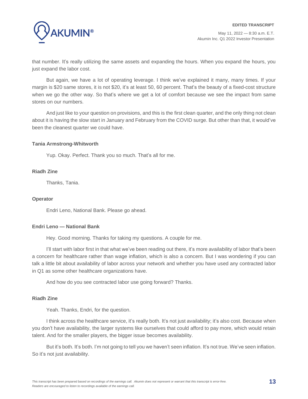that number. It's really utilizing the same assets and expanding the hours. When you expand the hours, you just expand the labor cost.

But again, we have a lot of operating leverage. I think we've explained it many, many times. If your margin is \$20 same stores, it is not \$20, it's at least 50, 60 percent. That's the beauty of a fixed-cost structure when we go the other way. So that's where we get a lot of comfort because we see the impact from same stores on our numbers.

And just like to your question on provisions, and this is the first clean quarter, and the only thing not clean about it is having the slow start in January and February from the COVID surge. But other than that, it would've been the cleanest quarter we could have.

#### **Tania Armstrong-Whitworth**

Yup. Okay. Perfect. Thank you so much. That's all for me.

# **Riadh Zine**

Thanks, Tania.

#### **Operator**

Endri Leno, National Bank. Please go ahead.

#### **Endri Leno — National Bank**

Hey. Good morning. Thanks for taking my questions. A couple for me.

I'll start with labor first in that what we've been reading out there, it's more availability of labor that's been a concern for healthcare rather than wage inflation, which is also a concern. But I was wondering if you can talk a little bit about availability of labor across your network and whether you have used any contracted labor in Q1 as some other healthcare organizations have.

And how do you see contracted labor use going forward? Thanks.

#### **Riadh Zine**

Yeah. Thanks, Endri, for the question.

I think across the healthcare service, it's really both. It's not just availability; it's also cost. Because when you don't have availability, the larger systems like ourselves that could afford to pay more, which would retain talent. And for the smaller players, the bigger issue becomes availability.

But it's both. It's both. I'm not going to tell you we haven't seen inflation. It's not true. We've seen inflation. So it's not just availability.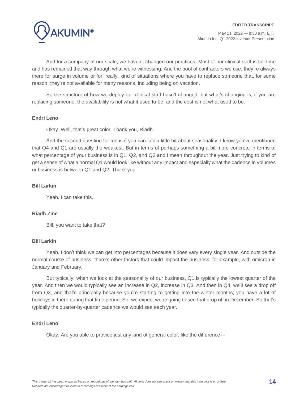And for a company of our scale, we haven't changed our practices. Most of our clinical staff is full time and has remained that way through what we're witnessing. And the pool of contractors we use, they're always there for surge in volume or for, really, kind of situations where you have to replace someone that, for some reason, they're not available for many reasons, including being on vacation.

So the structure of how we deploy our clinical staff hasn't changed, but what's changing is, if you are replacing someone, the availability is not what it used to be, and the cost is not what used to be.

## **Endri Leno**

Okay. Well, that's great color. Thank you, Riadh.

And the second question for me is if you can talk a little bit about seasonality. I know you've mentioned that Q4 and Q1 are usually the weakest. But in terms of perhaps something a bit more concrete in terms of what percentage of your business is in Q1, Q2, and Q3 and I mean throughout the year. Just trying to kind of get a sense of what a normal Q1 would look like without any impact and especially what the cadence in volumes or business is between Q1 and Q2. Thank you.

# **Bill Larkin**

Yeah. I can take this.

# **Riadh Zine**

Bill, you want to take that?

# **Bill Larkin**

Yeah. I don't think we can get into percentages because it does vary every single year. And outside the normal course of business, there's other factors that could impact the business, for example, with omicron in January and February.

But typically, when we look at the seasonality of our business, Q1 is typically the lowest quarter of the year. And then we would typically see an increase in Q2, increase in Q3. And then in Q4, we'll see a drop off from Q3, and that's principally because you're starting to getting into the winter months; you have a lot of holidays in there during that time period. So, we expect we're going to see that drop off in December. So that's typically the quarter-by-quarter cadence we would see each year.

# **Endri Leno**

Okay. Are you able to provide just any kind of general color, like the difference—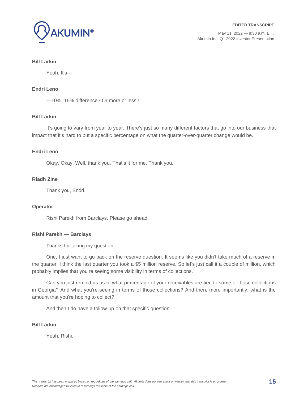

# **Bill Larkin**

Yeah. It's—

# **Endri Leno**

—10%, 15% difference? Or more or less?

# **Bill Larkin**

It's going to vary from year to year. There's just so many different factors that go into our business that impact that it's hard to put a specific percentage on what the quarter-over-quarter change would be.

#### **Endri Leno**

Okay. Okay. Well, thank you. That's it for me. Thank you.

#### **Riadh Zine**

Thank you, Endri.

## **Operator**

Rishi Parekh from Barclays. Please go ahead.

# **Rishi Parekh — Barclays**

Thanks for taking my question.

One, I just want to go back on the reserve question. It seems like you didn't take much of a reserve in the quarter. I think the last quarter you took a \$5 million reserve. So let's just call it a couple of million, which probably implies that you're seeing some visibility in terms of collections.

Can you just remind us as to what percentage of your receivables are tied to some of those collections in Georgia? And what you're seeing in terms of those collections? And then, more importantly, what is the amount that you're hoping to collect?

And then I do have a follow-up on that specific question.

# **Bill Larkin**

Yeah, Rishi.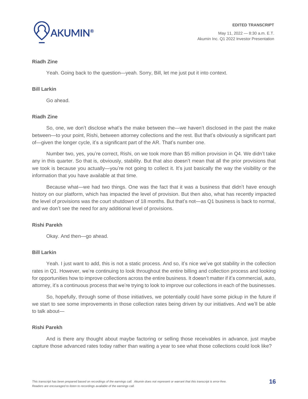

# **Riadh Zine**

Yeah. Going back to the question—yeah. Sorry, Bill, let me just put it into context.

# **Bill Larkin**

Go ahead.

# **Riadh Zine**

So, one, we don't disclose what's the make between the—we haven't disclosed in the past the make between—to your point, Rishi, between attorney collections and the rest. But that's obviously a significant part of—given the longer cycle, it's a significant part of the AR. That's number one.

Number two, yes, you're correct, Rishi, on we took more than \$5 million provision in Q4. We didn't take any in this quarter. So that is, obviously, stability. But that also doesn't mean that all the prior provisions that we took is because you actually—you're not going to collect it. It's just basically the way the visibility or the information that you have available at that time.

Because what—we had two things. One was the fact that it was a business that didn't have enough history on our platform, which has impacted the level of provision. But then also, what has recently impacted the level of provisions was the court shutdown of 18 months. But that's not—as Q1 business is back to normal, and we don't see the need for any additional level of provisions.

## **Rishi Parekh**

Okay. And then—go ahead.

# **Bill Larkin**

Yeah. I just want to add, this is not a static process. And so, it's nice we've got stability in the collection rates in Q1. However, we're continuing to look throughout the entire billing and collection process and looking for opportunities how to improve collections across the entire business. It doesn't matter if it's commercial, auto, attorney, it's a continuous process that we're trying to look to improve our collections in each of the businesses.

So, hopefully, through some of those initiatives, we potentially could have some pickup in the future if we start to see some improvements in those collection rates being driven by our initiatives. And we'll be able to talk about—

# **Rishi Parekh**

And is there any thought about maybe factoring or selling those receivables in advance, just maybe capture those advanced rates today rather than waiting a year to see what those collections could look like?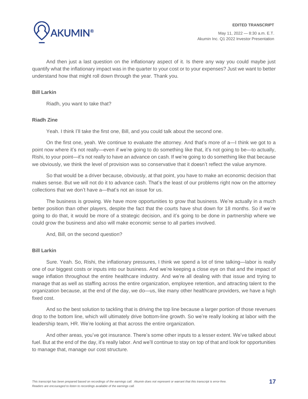

And then just a last question on the inflationary aspect of it. Is there any way you could maybe just quantify what the inflationary impact was in the quarter to your cost or to your expenses? Just we want to better understand how that might roll down through the year. Thank you.

# **Bill Larkin**

Riadh, you want to take that?

#### **Riadh Zine**

Yeah. I think I'll take the first one, Bill, and you could talk about the second one.

On the first one, yeah. We continue to evaluate the attorney. And that's more of a—I think we got to a point now where it's not really—even if we're going to do something like that, it's not going to be—to actually, Rishi, to your point—it's not really to have an advance on cash. If we're going to do something like that because we obviously, we think the level of provision was so conservative that it doesn't reflect the value anymore.

So that would be a driver because, obviously, at that point, you have to make an economic decision that makes sense. But we will not do it to advance cash. That's the least of our problems right now on the attorney collections that we don't have a—that's not an issue for us.

The business is growing. We have more opportunities to grow that business. We're actually in a much better position than other players, despite the fact that the courts have shut down for 18 months. So if we're going to do that, it would be more of a strategic decision, and it's going to be done in partnership where we could grow the business and also will make economic sense to all parties involved.

And, Bill, on the second question?

#### **Bill Larkin**

Sure. Yeah. So, Rishi, the inflationary pressures, I think we spend a lot of time talking—labor is really one of our biggest costs or inputs into our business. And we're keeping a close eye on that and the impact of wage inflation throughout the entire healthcare industry. And we're all dealing with that issue and trying to manage that as well as staffing across the entire organization, employee retention, and attracting talent to the organization because, at the end of the day, we do—us, like many other healthcare providers, we have a high fixed cost.

And so the best solution to tackling that is driving the top line because a larger portion of those revenues drop to the bottom line, which will ultimately drive bottom-line growth. So we're really looking at labor with the leadership team, HR. We're looking at that across the entire organization.

And other areas, you've got insurance. There's some other inputs to a lesser extent. We've talked about fuel. But at the end of the day, it's really labor. And we'll continue to stay on top of that and look for opportunities to manage that, manage our cost structure.